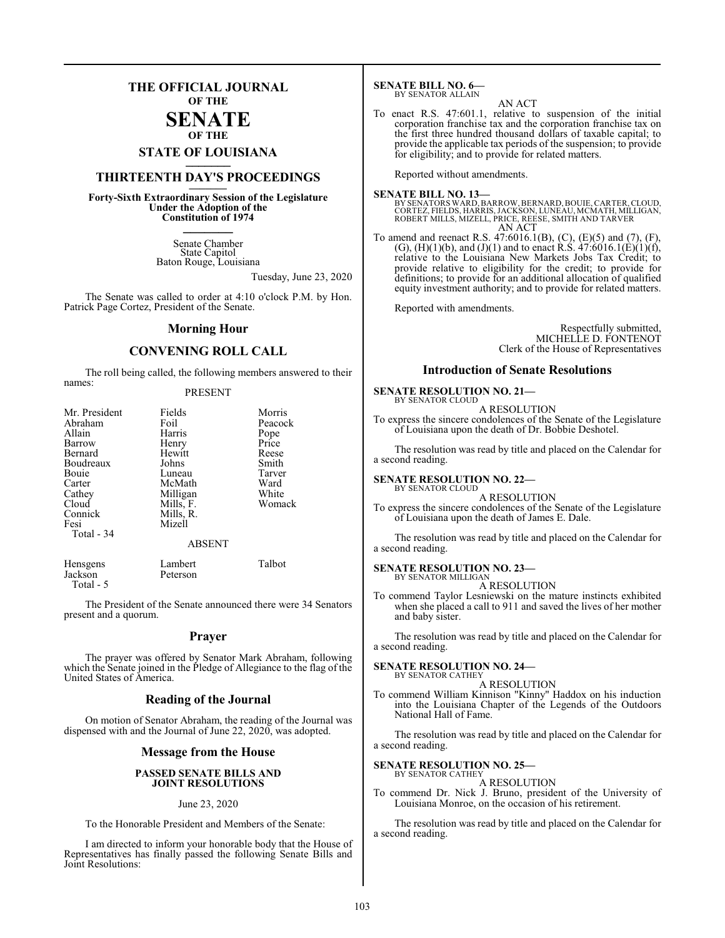## **THE OFFICIAL JOURNAL OF THE**

#### **SENATE OF THE**

# **STATE OF LOUISIANA \_\_\_\_\_\_\_**

## **THIRTEENTH DAY'S PROCEEDINGS \_\_\_\_\_\_\_**

**Forty-Sixth Extraordinary Session of the Legislature Under the Adoption of the Constitution of 1974 \_\_\_\_\_\_\_**

> Senate Chamber State Capitol Baton Rouge, Louisiana

> > Tuesday, June 23, 2020

The Senate was called to order at 4:10 o'clock P.M. by Hon. Patrick Page Cortez, President of the Senate.

#### **Morning Hour**

#### **CONVENING ROLL CALL**

The roll being called, the following members answered to their names:

#### PRESENT

| Mr. President | Fields        | Morris  |
|---------------|---------------|---------|
| Abraham       | Foil          | Peacock |
| Allain        | Harris        | Pope    |
| Barrow        | Henry         | Price   |
| Bernard       | Hewitt        | Reese   |
| Boudreaux     | Johns         | Smith   |
| Bouie         | Luneau        | Tarver  |
| Carter        | McMath        | Ward    |
| Cathey        | Milligan      | White   |
| Cloud         | Mills, F.     | Womack  |
| Connick       | Mills, R.     |         |
| Fesi          | Mizell        |         |
| Total - 34    |               |         |
|               | <b>ABSENT</b> |         |
| Hencoenc      | I amhert      | Talbot  |

| TICHSSCHIS | Lamout   | raiovi |
|------------|----------|--------|
| Jackson    | Peterson |        |
| Total - 5  |          |        |

The President of the Senate announced there were 34 Senators present and a quorum.

#### **Prayer**

The prayer was offered by Senator Mark Abraham, following which the Senate joined in the Pledge of Allegiance to the flag of the United States of America.

#### **Reading of the Journal**

On motion of Senator Abraham, the reading of the Journal was dispensed with and the Journal of June 22, 2020, was adopted.

#### **Message from the House**

#### **PASSED SENATE BILLS AND JOINT RESOLUTIONS**

#### June 23, 2020

To the Honorable President and Members of the Senate:

I am directed to inform your honorable body that the House of Representatives has finally passed the following Senate Bills and Joint Resolutions:

**SENATE BILL NO. 6—** BY SENATOR ALLAIN

#### AN ACT

To enact R.S. 47:601.1, relative to suspension of the initial corporation franchise tax and the corporation franchise tax on the first three hundred thousand dollars of taxable capital; to provide the applicable tax periods of the suspension; to provide for eligibility; and to provide for related matters.

Reported without amendments.

**SENATE BILL NO. 13—**<br>BY SENATORS WARD, BARROW, BERNARD, BOUIE, CARTER, CLOUD,<br>CORTEZ, FIELDS, HARRIS, JACKSON, LUNEAU, MCMATH, MILLIGAN,<br>ROBERT MILLS, MIZELL, PRICE, REESE, SMITH AND TARVER AN ACT

To amend and reenact R.S. 47:6016.1(B), (C), (E)(5) and (7), (F),  $(G)$ ,  $(H)(1)(b)$ , and  $(J)(1)$  and to enact R.S.  $47:6016.1(E)(1)(f)$ , relative to the Louisiana New Markets Jobs Tax Credit; to provide relative to eligibility for the credit; to provide for definitions; to provide for an additional allocation of qualified equity investment authority; and to provide for related matters.

Reported with amendments.

Respectfully submitted, MICHELLE D. FONTENOT Clerk of the House of Representatives

#### **Introduction of Senate Resolutions**

#### **SENATE RESOLUTION NO. 21—**

BY SENATOR CLOUD A RESOLUTION

To express the sincere condolences of the Senate of the Legislature of Louisiana upon the death of Dr. Bobbie Deshotel.

The resolution was read by title and placed on the Calendar for a second reading.

## **SENATE RESOLUTION NO. 22—** BY SENATOR CLOUD

#### A RESOLUTION

To express the sincere condolences of the Senate of the Legislature of Louisiana upon the death of James E. Dale.

The resolution was read by title and placed on the Calendar for a second reading.

#### **SENATE RESOLUTION NO. 23—** BY SENATOR MILLIGAN

A RESOLUTION

To commend Taylor Lesniewski on the mature instincts exhibited when she placed a call to 911 and saved the lives of her mother and baby sister.

The resolution was read by title and placed on the Calendar for a second reading.

## **SENATE RESOLUTION NO. 24—** BY SENATOR CATHEY

A RESOLUTION

To commend William Kinnison "Kinny" Haddox on his induction into the Louisiana Chapter of the Legends of the Outdoors National Hall of Fame.

The resolution was read by title and placed on the Calendar for a second reading.

#### **SENATE RESOLUTION NO. 25—** BY SENATOR CATHEY

#### A RESOLUTION

To commend Dr. Nick J. Bruno, president of the University of Louisiana Monroe, on the occasion of his retirement.

The resolution was read by title and placed on the Calendar for a second reading.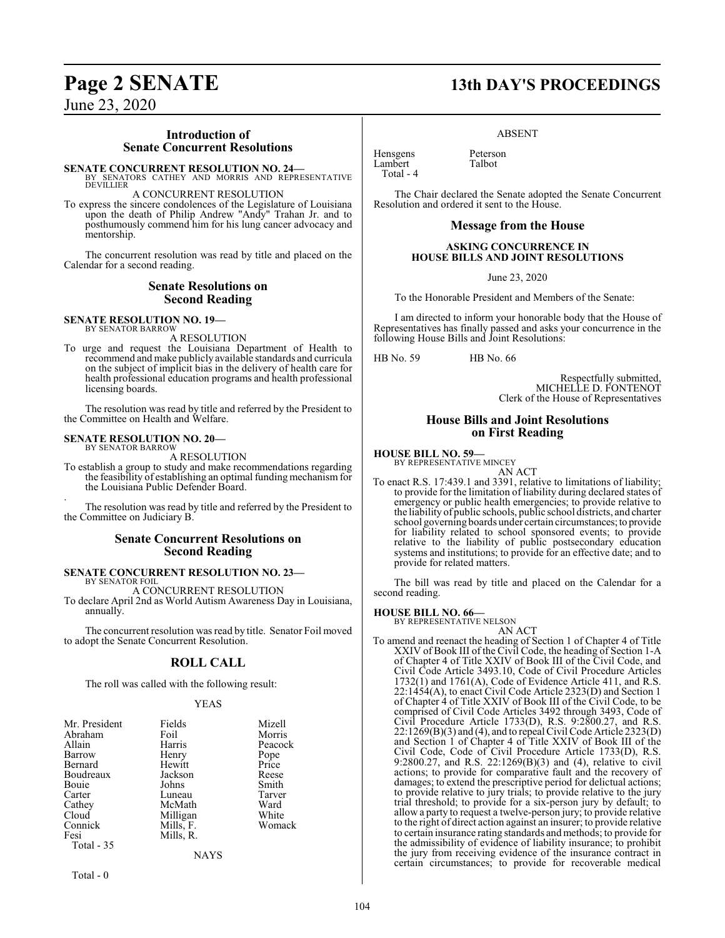#### **Introduction of Senate Concurrent Resolutions**

**SENATE CONCURRENT RESOLUTION NO. 24—**<br>BY SENATORS CATHEY AND MORRIS AND REPRESENTATIVE<br>DEVILLIER

A CONCURRENT RESOLUTION

To express the sincere condolences of the Legislature of Louisiana upon the death of Philip Andrew "Andy" Trahan Jr. and to posthumously commend him for his lung cancer advocacy and mentorship.

The concurrent resolution was read by title and placed on the Calendar for a second reading.

#### **Senate Resolutions on Second Reading**

#### **SENATE RESOLUTION NO. 19—** BY SENATOR BARROW

A RESOLUTION

To urge and request the Louisiana Department of Health to recommend and make publicly available standards and curricula on the subject of implicit bias in the delivery of health care for health professional education programs and health professional licensing boards.

The resolution was read by title and referred by the President to the Committee on Health and Welfare.

#### **SENATE RESOLUTION NO. 20—** BY SENATOR BARROW

A RESOLUTION

To establish a group to study and make recommendations regarding the feasibility of establishing an optimal funding mechanism for the Louisiana Public Defender Board.

. The resolution was read by title and referred by the President to the Committee on Judiciary B.

#### **Senate Concurrent Resolutions on Second Reading**

#### **SENATE CONCURRENT RESOLUTION NO. 23—** BY SENATOR FOIL

A CONCURRENT RESOLUTION

To declare April 2nd as World Autism Awareness Day in Louisiana, annually.

The concurrent resolution was read by title. Senator Foil moved to adopt the Senate Concurrent Resolution.

### **ROLL CALL**

The roll was called with the following result:

#### YEAS

| Mr. President | Fields    | Mizell  |
|---------------|-----------|---------|
| Abraham       | Foil      | Morris  |
| Allain        | Harris    | Peacock |
| Barrow        | Henry     | Pope    |
| Bernard       | Hewitt    | Price   |
| Boudreaux     | Jackson   | Reese   |
| Bouie         | Johns     | Smith   |
| Carter        | Luneau    | Tarver  |
| Cathey        | McMath    | Ward    |
| Cloud         | Milligan  | White   |
| Connick       | Mills, F. | Womack  |
| Fesi          | Mills, R. |         |
| Total - 35    |           |         |
|               | NAYS      |         |

Total - 0

## **Page 2 SENATE 13th DAY'S PROCEEDINGS**

ABSENT

Hensgens Peterson<br>Lambert Talbot Lambert Total - 4

The Chair declared the Senate adopted the Senate Concurrent Resolution and ordered it sent to the House.

#### **Message from the House**

#### **ASKING CONCURRENCE IN HOUSE BILLS AND JOINT RESOLUTIONS**

June 23, 2020

To the Honorable President and Members of the Senate:

I am directed to inform your honorable body that the House of Representatives has finally passed and asks your concurrence in the following House Bills and Joint Resolutions:

HB No. 59 HB No. 66

Respectfully submitted, MICHELLE D. FONTENOT Clerk of the House of Representatives

#### **House Bills and Joint Resolutions on First Reading**

#### **HOUSE BILL NO. 59—**

BY REPRESENTATIVE MINCEY

AN ACT To enact R.S. 17:439.1 and 3391, relative to limitations of liability; to provide for the limitation of liability during declared states of emergency or public health emergencies; to provide relative to the liability of public schools, public school districts, and charter school governing boards under certain circumstances; to provide for liability related to school sponsored events; to provide relative to the liability of public postsecondary education systems and institutions; to provide for an effective date; and to provide for related matters.

The bill was read by title and placed on the Calendar for a second reading.

#### **HOUSE BILL NO. 66—**

BY REPRESENTATIVE NELSON AN ACT

To amend and reenact the heading of Section 1 of Chapter 4 of Title XXIV of Book III of the Civil Code, the heading of Section 1-A of Chapter 4 of Title XXIV of Book III of the Civil Code, and Civil Code Article 3493.10, Code of Civil Procedure Articles 1732(1) and 1761(A), Code of Evidence Article 411, and R.S. 22:1454(A), to enact Civil Code Article 2323(D) and Section 1 of Chapter 4 of Title XXIV of Book III of the Civil Code, to be comprised of Civil Code Articles 3492 through 3493, Code of Civil Procedure Article 1733(D), R.S. 9:2800.27, and R.S. 22:1269(B)(3) and (4), and to repeal Civil Code Article 2323(D) and Section 1 of Chapter 4 of Title XXIV of Book III of the Civil Code, Code of Civil Procedure Article 1733(D), R.S. 9:2800.27, and R.S. 22:1269(B)(3) and (4), relative to civil actions; to provide for comparative fault and the recovery of damages; to extend the prescriptive period for delictual actions; to provide relative to jury trials; to provide relative to the jury trial threshold; to provide for a six-person jury by default; to allow a party to request a twelve-person jury; to provide relative to the right of direct action against an insurer; to provide relative to certain insurance rating standards and methods; to provide for the admissibility of evidence of liability insurance; to prohibit the jury from receiving evidence of the insurance contract in certain circumstances; to provide for recoverable medical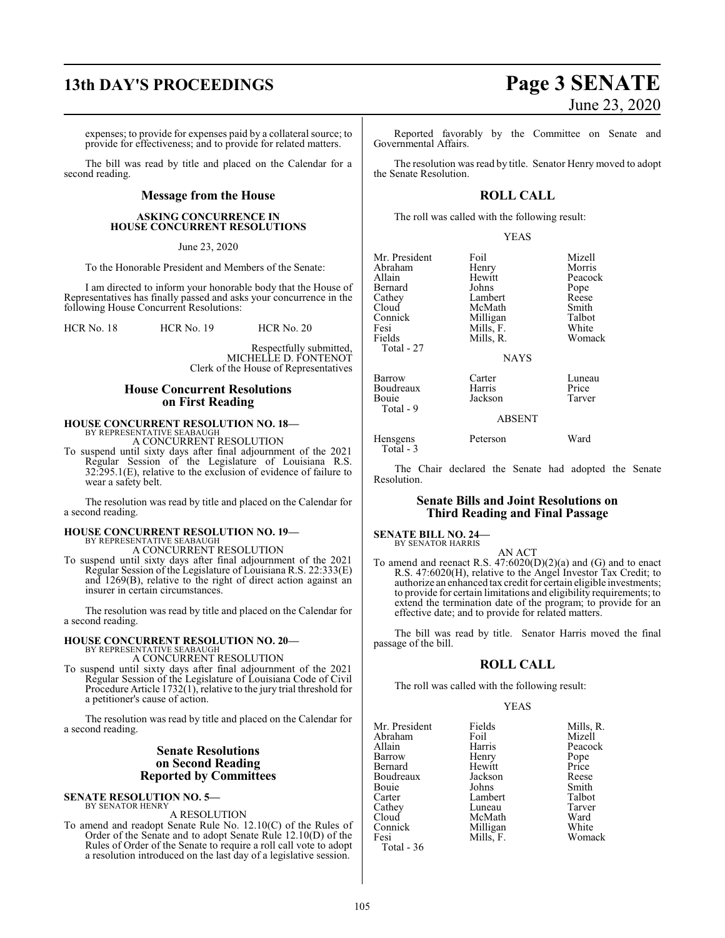# **13th DAY'S PROCEEDINGS Page 3 SENATE**

expenses; to provide for expenses paid by a collateral source; to provide for effectiveness; and to provide for related matters.

The bill was read by title and placed on the Calendar for a second reading.

#### **Message from the House**

#### **ASKING CONCURRENCE IN HOUSE CONCURRENT RESOLUTIONS**

#### June 23, 2020

To the Honorable President and Members of the Senate:

I am directed to inform your honorable body that the House of Representatives has finally passed and asks your concurrence in the following House Concurrent Resolutions:

HCR No. 18 HCR No. 19 HCR No. 20

Respectfully submitted, MICHELLE D. FONTENOT Clerk of the House of Representatives

#### **House Concurrent Resolutions on First Reading**

## **HOUSE CONCURRENT RESOLUTION NO. 18—** BY REPRESENTATIVE SEABAUGH

A CONCURRENT RESOLUTION

To suspend until sixty days after final adjournment of the 2021 Regular Session of the Legislature of Louisiana R.S. 32:295.1(E), relative to the exclusion of evidence of failure to wear a safety belt.

The resolution was read by title and placed on the Calendar for a second reading.

#### **HOUSE CONCURRENT RESOLUTION NO. 19—** BY REPRESENTATIVE SEABAUGH A CONCURRENT RESOLUTION

To suspend until sixty days after final adjournment of the 2021 Regular Session of the Legislature of Louisiana R.S. 22:333(E) and 1269(B), relative to the right of direct action against an insurer in certain circumstances.

The resolution was read by title and placed on the Calendar for a second reading.

## **HOUSE CONCURRENT RESOLUTION NO. 20—** BY REPRESENTATIVE SEABAUGH A CONCURRENT RESOLUTION

To suspend until sixty days after final adjournment of the 2021 Regular Session of the Legislature of Louisiana Code of Civil Procedure Article 1732(1), relative to the jury trial threshold for a petitioner's cause of action.

The resolution was read by title and placed on the Calendar for a second reading.

#### **Senate Resolutions on Second Reading Reported by Committees**

**SENATE RESOLUTION NO. 5—** BY SENATOR HENRY

A RESOLUTION

To amend and readopt Senate Rule No. 12.10(C) of the Rules of Order of the Senate and to adopt Senate Rule 12.10(D) of the Rules of Order of the Senate to require a roll call vote to adopt a resolution introduced on the last day of a legislative session.

# June 23, 2020

Reported favorably by the Committee on Senate and Governmental Affairs.

The resolution was read by title. Senator Henry moved to adopt the Senate Resolution.

#### **ROLL CALL**

The roll was called with the following result:

YEAS

| Mr. President<br>Abraham<br>Allain<br>Bernard<br>Cathey<br>Cloud<br>Connick<br>Fesi<br>Fields | Foil<br>Henry<br>Hewitt<br>Johns<br>Lambert<br>McMath<br>Milligan<br>Mills, F.<br>Mills, R. | Mizell<br>Morris<br>Peacock<br>Pope<br>Reese<br>Smith<br>Talbot<br>White<br>Womack |
|-----------------------------------------------------------------------------------------------|---------------------------------------------------------------------------------------------|------------------------------------------------------------------------------------|
| Total - 27                                                                                    | <b>NAYS</b>                                                                                 |                                                                                    |
| Barrow<br>Boudreaux<br>Bouie<br>Total - 9                                                     | Carter<br>Harris<br>Jackson                                                                 | Luneau<br>Price<br>Tarver                                                          |
|                                                                                               | <b>ABSENT</b>                                                                               |                                                                                    |
| Hensgens                                                                                      | Peterson                                                                                    | Ward                                                                               |

The Chair declared the Senate had adopted the Senate Resolution.

#### **Senate Bills and Joint Resolutions on Third Reading and Final Passage**

#### **SENATE BILL NO. 24—** BY SENATOR HARRIS

Total - 3

AN ACT To amend and reenact R.S.  $47:6020(D)(2)(a)$  and (G) and to enact R.S. 47:6020(H), relative to the Angel Investor Tax Credit; to authorize an enhanced tax credit for certain eligible investments; to provide for certain limitations and eligibility requirements; to extend the termination date of the program; to provide for an effective date; and to provide for related matters.

The bill was read by title. Senator Harris moved the final passage of the bill.

### **ROLL CALL**

The roll was called with the following result:

Mills, F.

#### YEAS

Mr. President Fields Mills, R.<br>Abraham Foil Mizell Abraham Foil<br>Allain Harris Barrow Henry Pope<br>Bernard Hewitt Price Bernard Hewitt Price Boudreaux Jackson Reese Bouie Johns Smith Carter Lambert Talbot<br>Cathey Luneau Tarver Cathey Luneau Tarve<br>Cloud McMath Ward Cloud McMath Ward<br>Connick Milligan White Connick Milligan White<br>
Fesi Mills, F. Womack Total - 36

Harris Peacock<br>
Henry Pope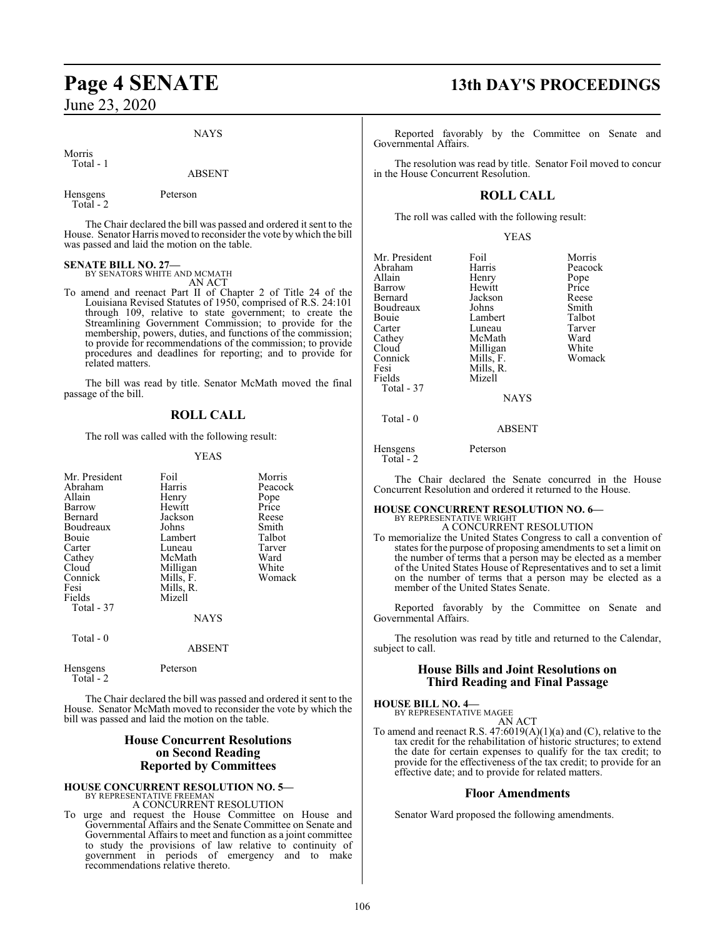NAYS

Morris Total - 1

#### ABSENT

Hensgens Peterson Total - 2

The Chair declared the bill was passed and ordered it sent to the House. Senator Harris moved to reconsider the vote by which the bill was passed and laid the motion on the table.

#### **SENATE BILL NO. 27—**

BY SENATORS WHITE AND MCMATH AN ACT

To amend and reenact Part II of Chapter 2 of Title 24 of the Louisiana Revised Statutes of 1950, comprised of R.S. 24:101 through 109, relative to state government; to create the Streamlining Government Commission; to provide for the membership, powers, duties, and functions of the commission; to provide for recommendations of the commission; to provide procedures and deadlines for reporting; and to provide for related matters.

The bill was read by title. Senator McMath moved the final passage of the bill.

#### **ROLL CALL**

The roll was called with the following result:

#### YEAS

| Mr. President         | Foil        | Morris  |
|-----------------------|-------------|---------|
| Abraham               | Harris      | Peacock |
| Allain                | Henry       | Pope    |
| Barrow                | Hewitt      | Price   |
| Bernard               | Jackson     | Reese   |
| Boudreaux             | Johns       | Smith   |
| Bouie                 | Lambert     | Talbot  |
| Carter                | Luneau      | Tarver  |
| Cathey                | McMath      | Ward    |
| Cloud                 | Milligan    | White   |
| Connick               | Mills, F.   | Womack  |
| Fesi                  | Mills, R.   |         |
| Fields                | Mizell      |         |
| Total - 37            |             |         |
|                       | <b>NAYS</b> |         |
|                       |             |         |
|                       |             |         |
| Total - 0             |             |         |
|                       | ABSENT      |         |
|                       | Peterson    |         |
| Hensgens<br>Total - 2 |             |         |
|                       |             |         |

The Chair declared the bill was passed and ordered it sent to the House. Senator McMath moved to reconsider the vote by which the bill was passed and laid the motion on the table.

#### **House Concurrent Resolutions on Second Reading Reported by Committees**

#### **HOUSE CONCURRENT RESOLUTION NO. 5—** BY REPRESENTATIVE FREEMAN A CONCURRENT RESOLUTION

To urge and request the House Committee on House and Governmental Affairs and the Senate Committee on Senate and Governmental Affairs to meet and function as a joint committee to study the provisions of law relative to continuity of government in periods of emergency and to make recommendations relative thereto.

## **Page 4 SENATE 13th DAY'S PROCEEDINGS**

Reported favorably by the Committee on Senate and Governmental Affairs.

The resolution was read by title. Senator Foil moved to concur in the House Concurrent Resolution.

## **ROLL CALL**

The roll was called with the following result:

YEAS

Mr. President Foil Morris Abraham Harris Peacock<br>Allain Henry Pope Barrow Hewitt Price Bernard Jackson Reese Boudreaux Johns Smith<br>Bouie Lambert Talbot Bouie Lambert Talbot<br>Carter Luneau Tarver Carter Luneau Tarver<br>
Cathey McMath Ward Cathey McMath Ward<br>Cloud Milligan White Connick<br>Fesi Fesi Mills, R.<br>Fields Mizell Mizell Total - 37

Henry Pope<br>
Hewitt Price Milligan White<br>
Mills, F. Womack

Total - 0

Hensgens Peterson

Total - 2

The Chair declared the Senate concurred in the House Concurrent Resolution and ordered it returned to the House.

NAYS

ABSENT

## **HOUSE CONCURRENT RESOLUTION NO. 6—**

BY REPRESENTATIVE WRIGHT A CONCURRENT RESOLUTION

To memorialize the United States Congress to call a convention of states for the purpose of proposing amendments to set a limit on the number of terms that a person may be elected as a member of the United States House of Representatives and to set a limit on the number of terms that a person may be elected as a member of the United States Senate.

Reported favorably by the Committee on Senate and Governmental Affairs.

The resolution was read by title and returned to the Calendar, subject to call.

#### **House Bills and Joint Resolutions on Third Reading and Final Passage**

#### **HOUSE BILL NO. 4—**

BY REPRESENTATIVE MAGEE AN ACT

To amend and reenact R.S. 47:6019(A)(1)(a) and (C), relative to the tax credit for the rehabilitation of historic structures; to extend the date for certain expenses to qualify for the tax credit; to provide for the effectiveness of the tax credit; to provide for an effective date; and to provide for related matters.

#### **Floor Amendments**

Senator Ward proposed the following amendments.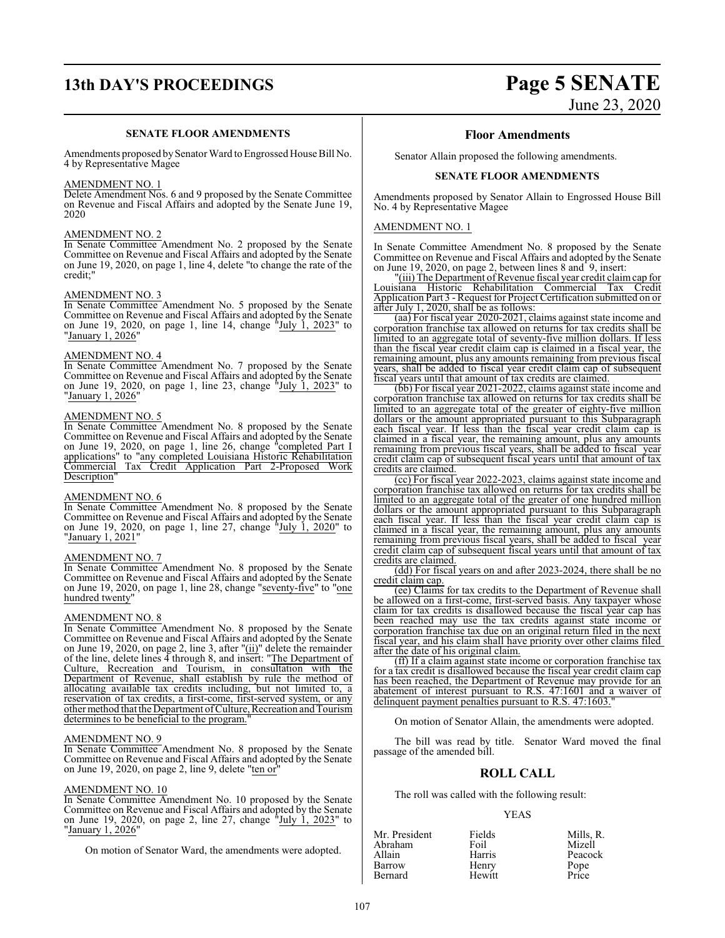## **13th DAY'S PROCEEDINGS Page 5 SENATE**

#### **SENATE FLOOR AMENDMENTS**

Amendments proposed by Senator Ward to Engrossed House Bill No. 4 by Representative Magee

#### AMENDMENT NO. 1

Delete Amendment Nos. 6 and 9 proposed by the Senate Committee on Revenue and Fiscal Affairs and adopted by the Senate June 19, 2020

#### AMENDMENT NO. 2

In Senate Committee Amendment No. 2 proposed by the Senate Committee on Revenue and Fiscal Affairs and adopted by the Senate on June 19, 2020, on page 1, line 4, delete "to change the rate of the credit;"

#### AMENDMENT NO. 3

In Senate Committee Amendment No. 5 proposed by the Senate Committee on Revenue and Fiscal Affairs and adopted by the Senate on June 19, 2020, on page 1, line 14, change "July 1, 2023" to "<u>January 1, 2026</u>"

#### AMENDMENT NO. 4

In Senate Committee Amendment No. 7 proposed by the Senate Committee on Revenue and Fiscal Affairs and adopted by the Senate on June 19, 2020, on page 1, line 23, change "July 1, 2023" to "January 1, 2026"

#### AMENDMENT NO. 5

In Senate Committee Amendment No. 8 proposed by the Senate Committee on Revenue and Fiscal Affairs and adopted by the Senate on June 19, 2020, on page 1, line 26, change "completed Part I applications" to "any completed Louisiana Historic Rehabilitation Commercial Tax Credit Application Part 2-Proposed Work Description"

#### AMENDMENT NO. 6

In Senate Committee Amendment No. 8 proposed by the Senate Committee on Revenue and Fiscal Affairs and adopted by the Senate on June 19, 2020, on page 1, line 27, change "July 1, 2020" to "January 1, 2021"

#### AMENDMENT NO. 7

In Senate Committee Amendment No. 8 proposed by the Senate Committee on Revenue and Fiscal Affairs and adopted by the Senate on June 19, 2020, on page 1, line 28, change "seventy-five" to "one hundred twenty"

#### AMENDMENT NO. 8

In Senate Committee Amendment No. 8 proposed by the Senate Committee on Revenue and Fiscal Affairs and adopted by the Senate on June 19, 2020, on page 2, line 3, after "(ii)" delete the remainder of the line, delete lines 4 through 8, and insert: "The Department of Culture, Recreation and Tourism, in consultation with the Department of Revenue, shall establish by rule the method of allocating available tax credits including, but not limited to, a reservation of tax credits, a first-come, first-served system, or any other method that the Department ofCulture, Recreation and Tourism determines to be beneficial to the program.

#### AMENDMENT NO. 9

In Senate Committee Amendment No. 8 proposed by the Senate Committee on Revenue and Fiscal Affairs and adopted by the Senate on June 19, 2020, on page 2, line 9, delete "ten or"

#### AMENDMENT NO. 10

In Senate Committee Amendment No. 10 proposed by the Senate Committee on Revenue and Fiscal Affairs and adopted by the Senate on June 19, 2020, on page 2, line 27, change "July 1, 2023" to "January 1, 2026"

On motion of Senator Ward, the amendments were adopted.

# June 23, 2020

#### **Floor Amendments**

Senator Allain proposed the following amendments.

#### **SENATE FLOOR AMENDMENTS**

Amendments proposed by Senator Allain to Engrossed House Bill No. 4 by Representative Magee

#### AMENDMENT NO. 1

In Senate Committee Amendment No. 8 proposed by the Senate Committee on Revenue and Fiscal Affairs and adopted by the Senate on June 19, 2020, on page 2, between lines 8 and 9, insert:

"(iii) The Department of Revenue fiscal year credit claim cap for Louisiana Historic Rehabilitation Commercial Tax Credit Application Part 3 - Request for Project Certification submitted on or after July 1, 2020, shall be as follows:

(aa) For fiscal year 2020-2021, claims against state income and corporation franchise tax allowed on returns for tax credits shall be limited to an aggregate total of seventy-five million dollars. If less than the fiscal year credit claim cap is claimed in a fiscal year, the remaining amount, plus any amounts remaining from previous fiscal years, shall be added to fiscal year credit claim cap of subsequent fiscal years until that amount of tax credits are claimed.

(bb) For fiscal year 2021-2022, claims against state income and corporation franchise tax allowed on returns for tax credits shall be limited to an aggregate total of the greater of eighty-five million dollars or the amount appropriated pursuant to this Subparagraph each fiscal year. If less than the fiscal year credit claim cap is claimed in a fiscal year, the remaining amount, plus any amounts remaining from previous fiscal years, shall be added to fiscal year credit claim cap of subsequent fiscal years until that amount of tax credits are claimed.

(cc) For fiscal year 2022-2023, claims against state income and corporation franchise tax allowed on returns for tax credits shall be limited to an aggregate total of the greater of one hundred million dollars or the amount appropriated pursuant to this Subparagraph each fiscal year. If less than the fiscal year credit claim cap is claimed in a fiscal year, the remaining amount, plus any amounts remaining from previous fiscal years, shall be added to fiscal year credit claim cap of subsequent fiscal years until that amount of tax credits are claimed.

(dd) For fiscal years on and after 2023-2024, there shall be no credit claim cap.

(ee) Claims for tax credits to the Department of Revenue shall be allowed on a first-come, first-served basis. Any taxpayer whose claim for tax credits is disallowed because the fiscal year cap has been reached may use the tax credits against state income or corporation franchise tax due on an original return filed in the next fiscal year, and his claim shall have priority over other claims filed after the date of his original claim.

(ff) If a claim against state income or corporation franchise tax for a tax credit is disallowed because the fiscal year credit claim cap has been reached, the Department of Revenue may provide for an abatement of interest pursuant to R.S. 47:1601 and a waiver of delinquent payment penalties pursuant to R.S. 47:1603.

On motion of Senator Allain, the amendments were adopted.

The bill was read by title. Senator Ward moved the final passage of the amended bill.

#### **ROLL CALL**

The roll was called with the following result:

#### YEAS

| Mr. President | Fields | Mills, R. |
|---------------|--------|-----------|
| Abraham       | Foil   | Mizell    |
| Allain        | Harris | Peacock   |
| Barrow        | Henry  | Pope      |
| Bernard       | Hewitt | Price     |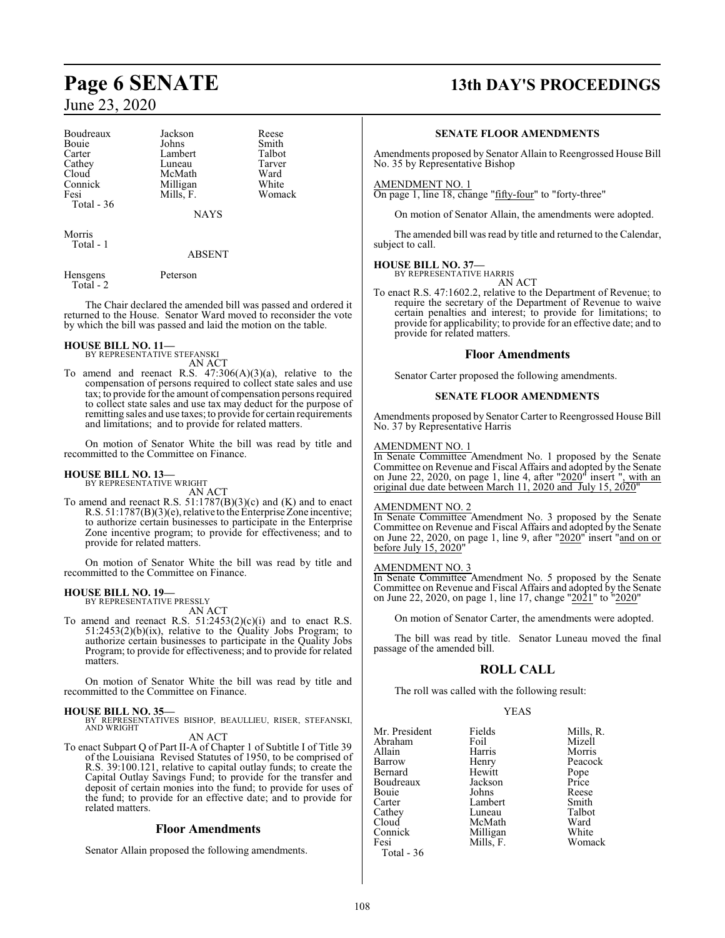| Boudreaux  | Jackson   | Reese  |
|------------|-----------|--------|
| Bouie      | Johns     | Smith  |
| Carter     | Lambert   | Talbot |
| Cathey     | Luneau    | Tarver |
| Cloud      | McMath    | Ward   |
| Connick    | Milligan  | White  |
| Fesi       | Mills, F. | Woma   |
| Total - 36 |           |        |
|            | NAYS      |        |

Morris Total - 1

#### ABSENT

Smith<br>Talbot

Tarver<br>Ward

White Womack

Hensgens Peterson Total - 2

The Chair declared the amended bill was passed and ordered it returned to the House. Senator Ward moved to reconsider the vote by which the bill was passed and laid the motion on the table.

## **HOUSE BILL NO. 11—** BY REPRESENTATIVE STEFANSKI

AN ACT

To amend and reenact R.S.  $47:306(A)(3)(a)$ , relative to the compensation of persons required to collect state sales and use tax; to provide for the amount of compensation persons required to collect state sales and use tax may deduct for the purpose of remitting sales and use taxes; to provide for certain requirements and limitations; and to provide for related matters.

On motion of Senator White the bill was read by title and recommitted to the Committee on Finance.

#### **HOUSE BILL NO. 13—** BY REPRESENTATIVE WRIGHT

AN ACT

To amend and reenact R.S. 51:1787(B)(3)(c) and (K) and to enact R.S. 51:1787(B)(3)(e), relative to the Enterprise Zone incentive; to authorize certain businesses to participate in the Enterprise Zone incentive program; to provide for effectiveness; and to provide for related matters.

On motion of Senator White the bill was read by title and recommitted to the Committee on Finance.

## **HOUSE BILL NO. 19—** BY REPRESENTATIVE PRESSLY

AN ACT

To amend and reenact R.S.  $51:2453(2)(c)(i)$  and to enact R.S.  $51:2453(2)(b)(ix)$ , relative to the Quality Jobs Program; to authorize certain businesses to participate in the Quality Jobs Program; to provide for effectiveness; and to provide for related matters.

On motion of Senator White the bill was read by title and recommitted to the Committee on Finance.

#### **HOUSE BILL NO. 35—**

BY REPRESENTATIVES BISHOP, BEAULLIEU, RISER, STEFANSKI, AND WRIGHT

#### AN ACT

To enact Subpart Q of Part II-A of Chapter 1 of Subtitle I of Title 39 of the Louisiana Revised Statutes of 1950, to be comprised of R.S. 39:100.121, relative to capital outlay funds; to create the Capital Outlay Savings Fund; to provide for the transfer and deposit of certain monies into the fund; to provide for uses of the fund; to provide for an effective date; and to provide for related matters.

#### **Floor Amendments**

Senator Allain proposed the following amendments.

## **Page 6 SENATE 13th DAY'S PROCEEDINGS**

#### **SENATE FLOOR AMENDMENTS**

Amendments proposed by Senator Allain to Reengrossed House Bill No. 35 by Representative Bishop

#### AMENDMENT NO. 1

On page 1, line 18, change "fifty-four" to "forty-three"

On motion of Senator Allain, the amendments were adopted.

The amended bill was read by title and returned to the Calendar, subject to call.

#### **HOUSE BILL NO. 37—** BY REPRESENTATIVE HARRIS

AN ACT

To enact R.S. 47:1602.2, relative to the Department of Revenue; to require the secretary of the Department of Revenue to waive certain penalties and interest; to provide for limitations; to provide for applicability; to provide for an effective date; and to provide for related matters.

#### **Floor Amendments**

Senator Carter proposed the following amendments.

#### **SENATE FLOOR AMENDMENTS**

Amendments proposed by Senator Carter to Reengrossed House Bill No. 37 by Representative Harris

#### AMENDMENT NO. 1

In Senate Committee Amendment No. 1 proposed by the Senate Committee on Revenue and Fiscal Affairs and adopted by the Senate on June 22, 2020, on page 1, line 4, after "2020" insert ", with an original due date between March 11, 2020 and July 15, 2020"

#### AMENDMENT NO. 2

In Senate Committee Amendment No. 3 proposed by the Senate Committee on Revenue and Fiscal Affairs and adopted by the Senate on June 22, 2020, on page 1, line 9, after "2020" insert "and on or before July 15, 2020"

#### AMENDMENT NO. 3

In Senate Committee Amendment No. 5 proposed by the Senate Committee on Revenue and Fiscal Affairs and adopted by the Senate on June 22, 2020, on page 1, line 17, change "2021" to "2020"

On motion of Senator Carter, the amendments were adopted.

The bill was read by title. Senator Luneau moved the final passage of the amended bill.

#### **ROLL CALL**

The roll was called with the following result:

#### YEAS

| Mr. President | Fields    | Mills, R. |
|---------------|-----------|-----------|
| Abraham       | Foil      | Mizell    |
| Allain        | Harris    | Morris    |
| Barrow        | Henry     | Peacock   |
| Bernard       | Hewitt    | Pope      |
| Boudreaux     | Jackson   | Price     |
| Bouie         | Johns     | Reese     |
| Carter        | Lambert   | Smith     |
| Cathey        | Luneau    | Talbot    |
| Cloud         | McMath    | Ward      |
| Connick       | Milligan  | White     |
| Fesi          | Mills, F. | Womack    |
| Total - 36    |           |           |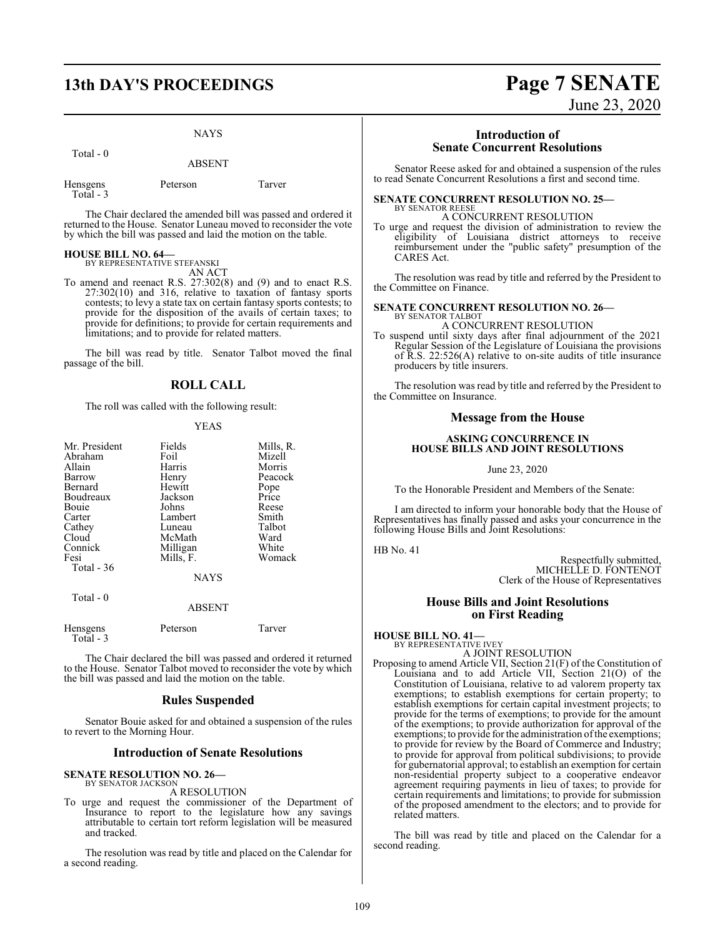# **13th DAY'S PROCEEDINGS Page 7 SENATE**

Total - 0

ABSENT

| Hensgens |  |
|----------|--|
| Total -  |  |

Peterson Tarver

The Chair declared the amended bill was passed and ordered it returned to the House. Senator Luneau moved to reconsider the vote by which the bill was passed and laid the motion on the table.

## **HOUSE BILL NO. 64—** BY REPRESENTATIVE STEFANSKI

- AN ACT
- To amend and reenact R.S. 27:302(8) and (9) and to enact R.S. 27:302(10) and 316, relative to taxation of fantasy sports contests; to levy a state tax on certain fantasy sports contests; to provide for the disposition of the avails of certain taxes; to provide for definitions; to provide for certain requirements and limitations; and to provide for related matters.

The bill was read by title. Senator Talbot moved the final passage of the bill.

### **ROLL CALL**

The roll was called with the following result:

#### YEAS

| Mr. President | Fields      | Mills, R. |
|---------------|-------------|-----------|
| Abraham       | Foil        | Mizell    |
|               |             |           |
| Allain        | Harris      | Morris    |
| Barrow        | Henry       | Peacock   |
| Bernard       | Hewitt      | Pope      |
| Boudreaux     | Jackson     | Price     |
| Bouie         | Johns       | Reese     |
| Carter        | Lambert     | Smith     |
| Cathey        | Luneau      | Talbot    |
| Cloud         | McMath      | Ward      |
| Connick       | Milligan    | White     |
| Fesi          | Mills, F.   | Womack    |
| Total $-36$   |             |           |
|               | <b>NAYS</b> |           |
| Total - 0     |             |           |

ABSENT

| Hensgens<br>Total - 3 | Peterson | Tarver |
|-----------------------|----------|--------|
|                       |          |        |

The Chair declared the bill was passed and ordered it returned to the House. Senator Talbot moved to reconsider the vote by which the bill was passed and laid the motion on the table.

#### **Rules Suspended**

Senator Bouie asked for and obtained a suspension of the rules to revert to the Morning Hour.

#### **Introduction of Senate Resolutions**

#### **SENATE RESOLUTION NO. 26—**

BY SENATOR JACKSON A RESOLUTION

To urge and request the commissioner of the Department of Insurance to report to the legislature how any savings attributable to certain tort reform legislation will be measured and tracked.

The resolution was read by title and placed on the Calendar for a second reading.

# June 23, 2020

#### **Introduction of Senate Concurrent Resolutions**

Senator Reese asked for and obtained a suspension of the rules to read Senate Concurrent Resolutions a first and second time.

#### **SENATE CONCURRENT RESOLUTION NO. 25—** BY SENATOR REESE

A CONCURRENT RESOLUTION

To urge and request the division of administration to review the eligibility of Louisiana district attorneys to receive reimbursement under the "public safety" presumption of the CARES Act.

The resolution was read by title and referred by the President to the Committee on Finance.

#### **SENATE CONCURRENT RESOLUTION NO. 26—** BY SENATOR TALBOT

A CONCURRENT RESOLUTION

To suspend until sixty days after final adjournment of the 2021 Regular Session of the Legislature of Louisiana the provisions of R.S. 22:526(A) relative to on-site audits of title insurance producers by title insurers.

The resolution was read by title and referred by the President to the Committee on Insurance.

#### **Message from the House**

#### **ASKING CONCURRENCE IN HOUSE BILLS AND JOINT RESOLUTIONS**

June 23, 2020

To the Honorable President and Members of the Senate:

I am directed to inform your honorable body that the House of Representatives has finally passed and asks your concurrence in the following House Bills and Joint Resolutions:

HB No. 41

Respectfully submitted, MICHELLE D. FONTENOT Clerk of the House of Representatives

#### **House Bills and Joint Resolutions on First Reading**

**HOUSE BILL NO. 41—** BY REPRESENTATIVE IVEY

A JOINT RESOLUTION

Proposing to amend Article VII, Section 21(F) of the Constitution of Louisiana and to add Article VII, Section 21(O) of the Constitution of Louisiana, relative to ad valorem property tax exemptions; to establish exemptions for certain property; to establish exemptions for certain capital investment projects; to provide for the terms of exemptions; to provide for the amount of the exemptions; to provide authorization for approval of the exemptions; to provide for the administration of the exemptions; to provide for review by the Board of Commerce and Industry; to provide for approval from political subdivisions; to provide for gubernatorial approval; to establish an exemption for certain non-residential property subject to a cooperative endeavor agreement requiring payments in lieu of taxes; to provide for certain requirements and limitations; to provide for submission of the proposed amendment to the electors; and to provide for related matters.

The bill was read by title and placed on the Calendar for a second reading.